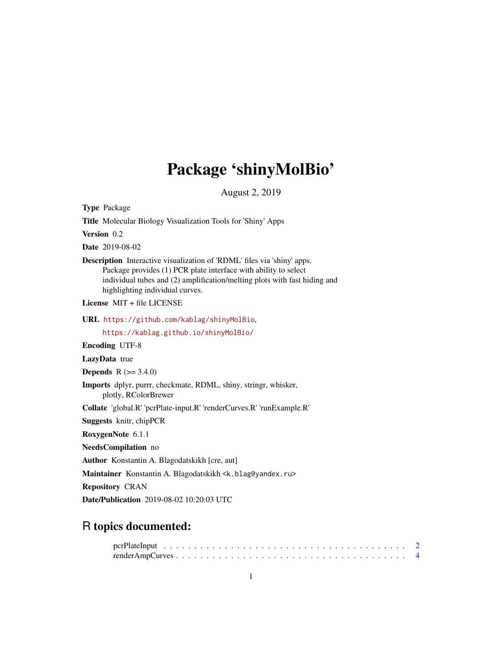## Package 'shinyMolBio'

August 2, 2019

Type Package

Title Molecular Biology Visualization Tools for 'Shiny' Apps

Version 0.2

Date 2019-08-02

Description Interactive visualization of 'RDML' files via 'shiny' apps. Package provides (1) PCR plate interface with ability to select individual tubes and (2) amplification/melting plots with fast hiding and highlighting individual curves.

License MIT + file LICENSE

URL <https://github.com/kablag/shinyMolBio>,

<https://kablag.github.io/shinyMolBio/>

Encoding UTF-8

LazyData true

**Depends** R  $(>= 3.4.0)$ 

Imports dplyr, purrr, checkmate, RDML, shiny, stringr, whisker, plotly, RColorBrewer

Collate 'global.R' 'pcrPlate-input.R' 'renderCurves.R' 'runExample.R'

Suggests knitr, chipPCR

RoxygenNote 6.1.1

NeedsCompilation no

Author Konstantin A. Blagodatskikh [cre, aut]

Maintainer Konstantin A. Blagodatskikh <k.blag@yandex.ru>

Repository CRAN

Date/Publication 2019-08-02 10:20:03 UTC

### R topics documented: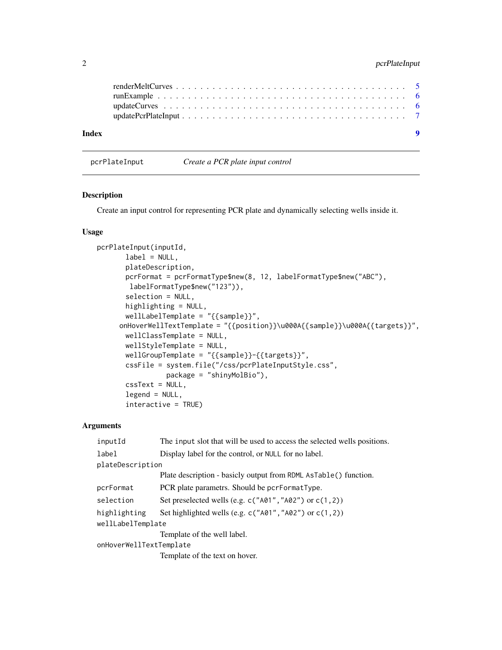#### <span id="page-1-0"></span>2 pcrPlateInput

| Index | $\bullet$ |  |
|-------|-----------|--|

pcrPlateInput *Create a PCR plate input control*

#### Description

Create an input control for representing PCR plate and dynamically selecting wells inside it.

#### Usage

```
pcrPlateInput(inputId,
       label = NULL,plateDescription,
       pcrFormat = pcrFormatType$new(8, 12, labelFormatType$new("ABC"),
        labelFormatType$new("123")),
       selection = NULL,
       highlighting = NULL,
       wellLabelTemplate = "{{sample}}",
     onHoverWellTextTemplate = "{{position}}\u000A{{sample}}\u000A{{targets}}",
       wellClassTemplate = NULL,
       wellStyleTemplate = NULL,
       wellGroupTemplate = "{{sample}}-{{targets}}",
       cssFile = system.file("/css/pcrPlateInputStyle.css",
                 package = "shinyMolBio"),
       cssText = NULL,
       legend = NULL,
       interactive = TRUE)
```
#### Arguments

| inputId                 | The input slot that will be used to access the selected wells positions. |  |
|-------------------------|--------------------------------------------------------------------------|--|
| label                   | Display label for the control, or NULL for no label.                     |  |
| plateDescription        |                                                                          |  |
|                         | Plate description - basicly output from RDML AsTable() function.         |  |
| pcrFormat               | PCR plate parametrs. Should be pcrFormatType.                            |  |
| selection               | Set preselected wells (e.g. $c("A01", "A02")$ or $c(1,2)$ )              |  |
| highlighting            | Set highlighted wells (e.g. $c("A01", "A02")$ or $c(1, 2)$ )             |  |
| wellLabelTemplate       |                                                                          |  |
|                         | Template of the well label.                                              |  |
| onHoverWellTextTemplate |                                                                          |  |
|                         | Template of the text on hover.                                           |  |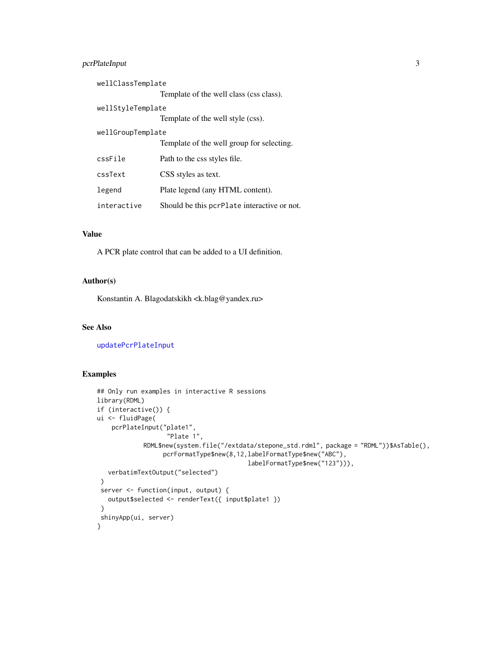#### <span id="page-2-0"></span>pcrPlateInput 3

| wellClassTemplate |                                             |  |
|-------------------|---------------------------------------------|--|
|                   | Template of the well class (css class).     |  |
| wellStyleTemplate |                                             |  |
|                   | Template of the well style (css).           |  |
| wellGroupTemplate |                                             |  |
|                   | Template of the well group for selecting.   |  |
| cssFile           | Path to the css styles file.                |  |
| cssText           | CSS styles as text.                         |  |
| legend            | Plate legend (any HTML content).            |  |
| interactive       | Should be this pcrPlate interactive or not. |  |

#### Value

A PCR plate control that can be added to a UI definition.

#### Author(s)

Konstantin A. Blagodatskikh <k.blag@yandex.ru>

#### See Also

[updatePcrPlateInput](#page-6-1)

```
## Only run examples in interactive R sessions
library(RDML)
if (interactive()) {
ui <- fluidPage(
   pcrPlateInput("plate1",
                   "Plate 1",
            RDML$new(system.file("/extdata/stepone_std.rdml", package = "RDML"))$AsTable(),
                  pcrFormatType$new(8,12,labelFormatType$new("ABC"),
                                         labelFormatType$new("123"))),
  verbatimTextOutput("selected")
 )
 server <- function(input, output) {
   output$selected <- renderText({ input$plate1 })
 }
 shinyApp(ui, server)
}
```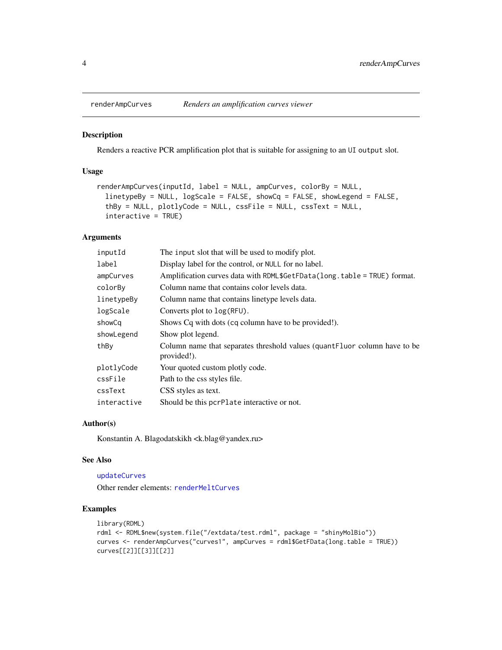<span id="page-3-1"></span><span id="page-3-0"></span>

#### Description

Renders a reactive PCR amplification plot that is suitable for assigning to an UI output slot.

#### Usage

```
renderAmpCurves(inputId, label = NULL, ampCurves, colorBy = NULL,
  linetypeBy = NULL, logScale = FALSE, showCq = FALSE, showLegend = FALSE,
  thBy = NULL, plotlyCode = NULL, cssFile = NULL, cssText = NULL,
  interactive = TRUE)
```
#### Arguments

| inputId     | The input slot that will be used to modify plot.                                          |
|-------------|-------------------------------------------------------------------------------------------|
| label       | Display label for the control, or NULL for no label.                                      |
| ampCurves   | Amplification curves data with RDML\$GetFData( $long.table = TRUE$ ) format.              |
| colorBy     | Column name that contains color levels data.                                              |
| linetypeBy  | Column name that contains linetype levels data.                                           |
| logScale    | Converts plot to $log(RFU)$ .                                                             |
| showCq      | Shows Cq with dots (cq column have to be provided!).                                      |
| showLegend  | Show plot legend.                                                                         |
| thBy        | Column name that separates threshold values (quant Fluor column have to be<br>provided!). |
| plotlyCode  | Your quoted custom plotly code.                                                           |
| cssFile     | Path to the css styles file.                                                              |
| cssText     | CSS styles as text.                                                                       |
| interactive | Should be this pcrPlate interactive or not.                                               |

#### Author(s)

Konstantin A. Blagodatskikh <k.blag@yandex.ru>

#### See Also

#### [updateCurves](#page-5-1)

Other render elements: [renderMeltCurves](#page-4-1)

```
library(RDML)
rdml <- RDML$new(system.file("/extdata/test.rdml", package = "shinyMolBio"))
curves <- renderAmpCurves("curves1", ampCurves = rdml$GetFData(long.table = TRUE))
curves[[2]][[3]][[2]]
```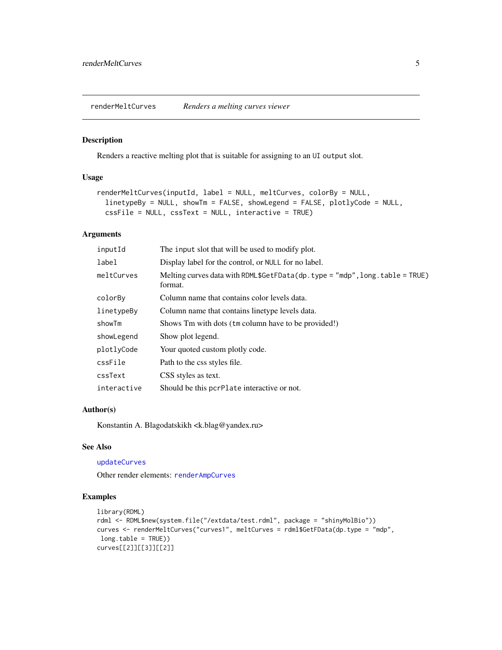<span id="page-4-1"></span><span id="page-4-0"></span>renderMeltCurves *Renders a melting curves viewer*

#### Description

Renders a reactive melting plot that is suitable for assigning to an UI output slot.

#### Usage

```
renderMeltCurves(inputId, label = NULL, meltCurves, colorBy = NULL,
  linetypeBy = NULL, showTm = FALSE, showLegend = FALSE, plotlyCode = NULL,
 cssFile = NULL, cssText = NULL, interactive = TRUE)
```
#### Arguments

| inputId     | The input slot that will be used to modify plot.                                                 |
|-------------|--------------------------------------------------------------------------------------------------|
| label       | Display label for the control, or NULL for no label.                                             |
| meltCurves  | Melting curves data with RDML\$GetFData(dp.type = $\text{"mdp", long. table}$ = TRUE)<br>format. |
| colorBy     | Column name that contains color levels data.                                                     |
| linetypeBy  | Column name that contains linetype levels data.                                                  |
| showTm      | Shows Tm with dots (tm column have to be provided!)                                              |
| showLegend  | Show plot legend.                                                                                |
| plotlyCode  | Your quoted custom plotly code.                                                                  |
| cssFile     | Path to the css styles file.                                                                     |
| cssText     | CSS styles as text.                                                                              |
| interactive | Should be this pcrPlate interactive or not.                                                      |

#### Author(s)

Konstantin A. Blagodatskikh <k.blag@yandex.ru>

#### See Also

#### [updateCurves](#page-5-1)

Other render elements: [renderAmpCurves](#page-3-1)

```
library(RDML)
rdml <- RDML$new(system.file("/extdata/test.rdml", package = "shinyMolBio"))
curves <- renderMeltCurves("curves1", meltCurves = rdml$GetFData(dp.type = "mdp",
long.table = TRUE))
curves[[2]][[3]][[2]]
```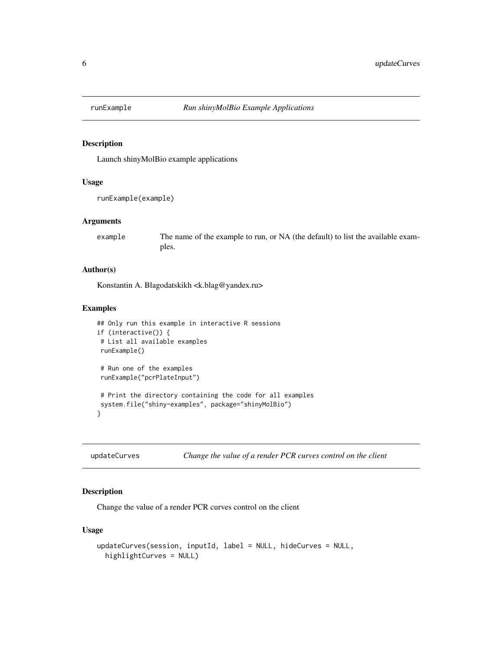<span id="page-5-0"></span>

#### Description

Launch shinyMolBio example applications

#### Usage

```
runExample(example)
```
#### Arguments

example The name of the example to run, or NA (the default) to list the available examples.

#### Author(s)

Konstantin A. Blagodatskikh <k.blag@yandex.ru>

#### Examples

```
## Only run this example in interactive R sessions
if (interactive()) {
# List all available examples
runExample()
# Run one of the examples
runExample("pcrPlateInput")
# Print the directory containing the code for all examples
system.file("shiny-examples", package="shinyMolBio")
}
```
<span id="page-5-1"></span>updateCurves *Change the value of a render PCR curves control on the client*

#### Description

Change the value of a render PCR curves control on the client

#### Usage

```
updateCurves(session, inputId, label = NULL, hideCurves = NULL,
 highlightCurves = NULL)
```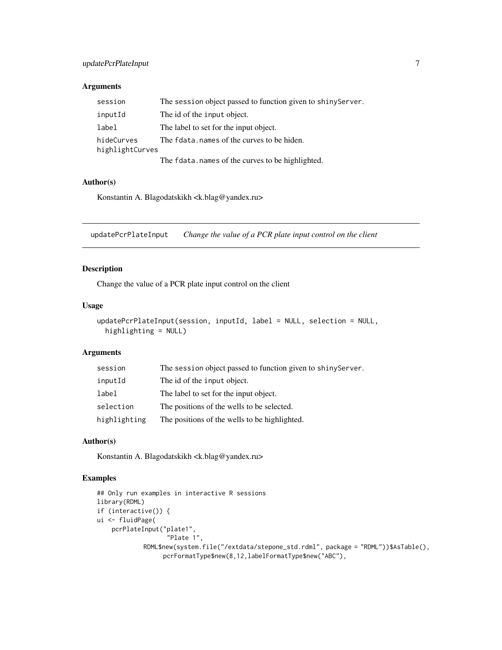#### <span id="page-6-0"></span>updatePcrPlateInput 7

#### Arguments

| session                       | The session object passed to function given to shinyServer. |
|-------------------------------|-------------------------------------------------------------|
| inputId                       | The id of the input object.                                 |
| label                         | The label to set for the input object.                      |
| hideCurves<br>highlightCurves | The fdata. names of the curves to be hiden.                 |
|                               | The fdata.names of the curves to be highlighted.            |

#### Author(s)

Konstantin A. Blagodatskikh <k.blag@yandex.ru>

<span id="page-6-1"></span>updatePcrPlateInput *Change the value of a PCR plate input control on the client*

#### Description

Change the value of a PCR plate input control on the client

#### Usage

```
updatePcrPlateInput(session, inputId, label = NULL, selection = NULL,
 highlighting = NULL)
```
#### Arguments

| session      | The session object passed to function given to shiny Server. |
|--------------|--------------------------------------------------------------|
| inputId      | The id of the input object.                                  |
| label        | The label to set for the input object.                       |
| selection    | The positions of the wells to be selected.                   |
| highlighting | The positions of the wells to be highlighted.                |

#### Author(s)

Konstantin A. Blagodatskikh <k.blag@yandex.ru>

```
## Only run examples in interactive R sessions
library(RDML)
if (interactive()) {
ui <- fluidPage(
   pcrPlateInput("plate1",
                   "Plate 1",
            RDML$new(system.file("/extdata/stepone_std.rdml", package = "RDML"))$AsTable(),
                  pcrFormatType$new(8,12,labelFormatType$new("ABC"),
```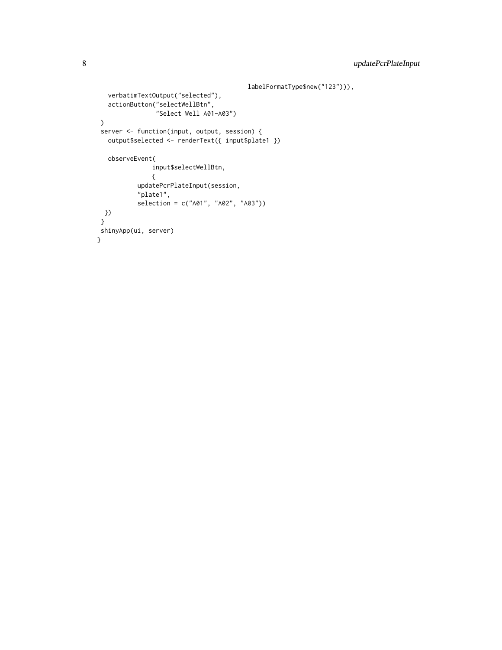```
labelFormatType$new("123"))),
  verbatimTextOutput("selected"),
  actionButton("selectWellBtn",
                "Select Well A01-A03")
\mathcal{L}server <- function(input, output, session) {
  output$selected <- renderText({ input$plate1 })
  observeEvent(
               input$selectWellBtn,
               {
           updatePcrPlateInput(session,
           "plate1",
           selection = c("A01", "A02", "A03"))
 })
}
shinyApp(ui, server)
}
```